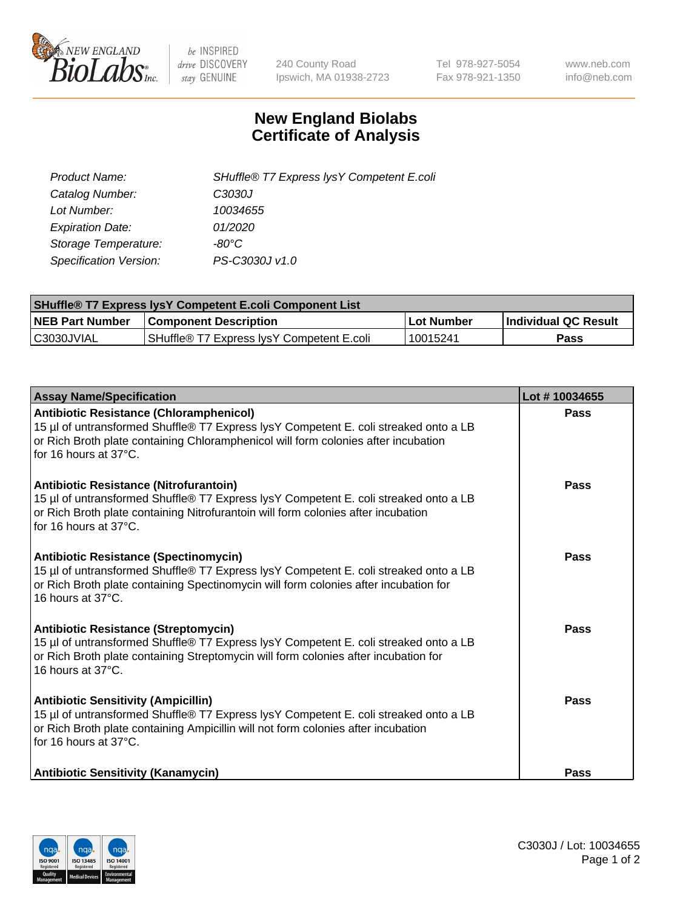

 $be$  INSPIRED drive DISCOVERY stay GENUINE

240 County Road Ipswich, MA 01938-2723 Tel 978-927-5054 Fax 978-921-1350 www.neb.com info@neb.com

## **New England Biolabs Certificate of Analysis**

| Product Name:           | SHuffle® T7 Express lysY Competent E.coli |
|-------------------------|-------------------------------------------|
| Catalog Number:         | C3030J                                    |
| Lot Number:             | 10034655                                  |
| <b>Expiration Date:</b> | 01/2020                                   |
| Storage Temperature:    | -80°C                                     |
| Specification Version:  | PS-C3030J v1.0                            |

| <b>SHuffle® T7 Express lysY Competent E.coli Component List</b> |                                           |                   |                             |  |
|-----------------------------------------------------------------|-------------------------------------------|-------------------|-----------------------------|--|
| <b>NEB Part Number</b>                                          | <b>Component Description</b>              | <b>Lot Number</b> | <b>Individual QC Result</b> |  |
| C3030JVIAL                                                      | SHuffle® T7 Express IysY Competent E.coli | 10015241          | Pass                        |  |

| <b>Assay Name/Specification</b>                                                                                                                                                                                                                       | Lot #10034655 |
|-------------------------------------------------------------------------------------------------------------------------------------------------------------------------------------------------------------------------------------------------------|---------------|
| <b>Antibiotic Resistance (Chloramphenicol)</b><br>15 µl of untransformed Shuffle® T7 Express lysY Competent E. coli streaked onto a LB<br>or Rich Broth plate containing Chloramphenicol will form colonies after incubation<br>for 16 hours at 37°C. | <b>Pass</b>   |
| Antibiotic Resistance (Nitrofurantoin)<br>15 µl of untransformed Shuffle® T7 Express lysY Competent E. coli streaked onto a LB<br>or Rich Broth plate containing Nitrofurantoin will form colonies after incubation<br>for 16 hours at 37°C.          | Pass          |
| <b>Antibiotic Resistance (Spectinomycin)</b><br>15 µl of untransformed Shuffle® T7 Express lysY Competent E. coli streaked onto a LB<br>or Rich Broth plate containing Spectinomycin will form colonies after incubation for<br>16 hours at 37°C.     | Pass          |
| <b>Antibiotic Resistance (Streptomycin)</b><br>15 µl of untransformed Shuffle® T7 Express lysY Competent E. coli streaked onto a LB<br>or Rich Broth plate containing Streptomycin will form colonies after incubation for<br>16 hours at 37°C.       | Pass          |
| <b>Antibiotic Sensitivity (Ampicillin)</b><br>15 µl of untransformed Shuffle® T7 Express lysY Competent E. coli streaked onto a LB<br>or Rich Broth plate containing Ampicillin will not form colonies after incubation<br>for 16 hours at 37°C.      | Pass          |
| <b>Antibiotic Sensitivity (Kanamycin)</b>                                                                                                                                                                                                             | Pass          |